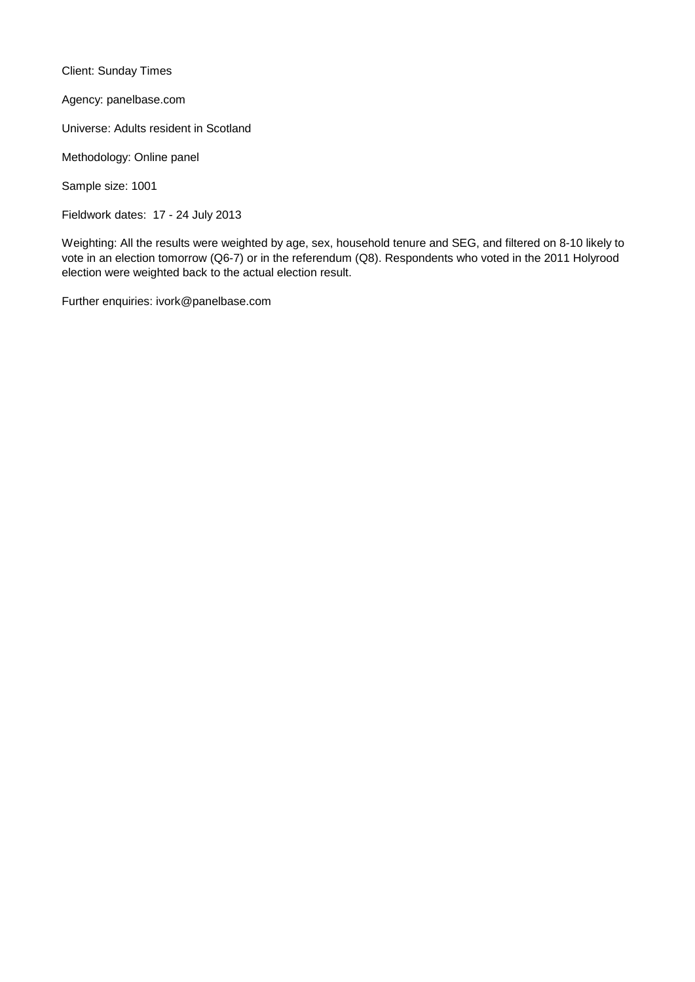Client: Sunday Times

Agency: panelbase.com

Universe: Adults resident in Scotland

Methodology: Online panel

Sample size: 1001

Fieldwork dates: 17 - 24 July 2013

Weighting: All the results were weighted by age, sex, household tenure and SEG, and filtered on 8-10 likely to vote in an election tomorrow (Q6-7) or in the referendum (Q8). Respondents who voted in the 2011 Holyrood election were weighted back to the actual election result.

Further enquiries: ivork@panelbase.com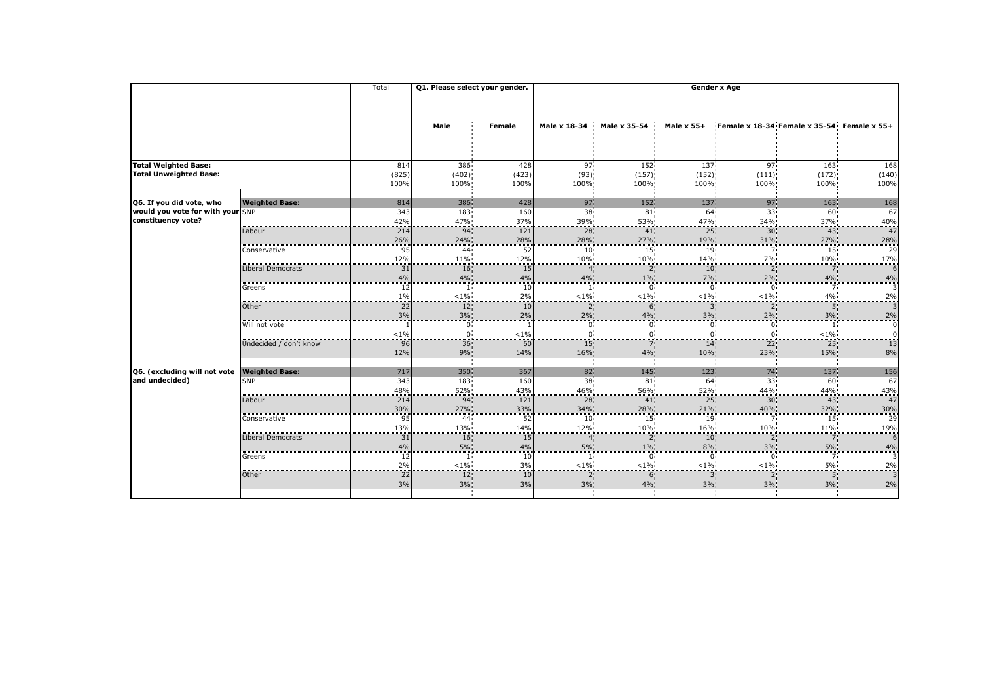|                                                              |                                         | Total                | Q1. Please select your gender.                      |                      | <b>Gender x Age</b>                 |                                  |                               |                                        |                                      |                             |  |
|--------------------------------------------------------------|-----------------------------------------|----------------------|-----------------------------------------------------|----------------------|-------------------------------------|----------------------------------|-------------------------------|----------------------------------------|--------------------------------------|-----------------------------|--|
|                                                              |                                         |                      | <b>Male</b>                                         | <b>Female</b>        | Male x 18-34                        | <b>Male x 35-54</b>              | <b>Male x 55+</b>             |                                        | <b>Female x 18-34 Female x 35-54</b> | Female x 55+                |  |
|                                                              |                                         |                      |                                                     |                      |                                     |                                  |                               |                                        |                                      |                             |  |
| <b>Total Weighted Base:</b><br><b>Total Unweighted Base:</b> |                                         | 814<br>(825)<br>100% | 386<br>(402)<br>100%                                | 428<br>(423)<br>100% | 97<br>(93)<br>100%                  | 152<br>(157)<br>100%             | 137<br>(152)<br>100%          | 97<br>(111)<br>100%                    | 163<br>(172)<br>100%                 | 168<br>(140)<br>100%        |  |
| Q6. If you did vote, who                                     | <b>Weighted Base:</b>                   | 814                  | 386                                                 | 428                  | 97                                  | 152                              | 137                           | 97                                     | 163                                  | 168                         |  |
| would you vote for with your SNP<br>constituency vote?       |                                         | 343<br>42%           | 183<br>47%                                          | 160<br>37%           | 38<br>39%                           | 81<br>53%                        | 64<br>47%                     | 33<br>34%                              | 60<br>37%                            | 67<br>40%                   |  |
|                                                              | Labour                                  | 214<br>26%           | $94^{\frac{1}{2}}$<br>24%                           | 121<br>28%           | 28<br>28%                           | 41<br>27%                        | 25 <sup>2</sup><br>19%        | 30 <sup>3</sup><br>31%                 | 43 <sup>3</sup><br>27%               | 47<br>28%                   |  |
|                                                              | Conservative                            | 95<br>12%            | $44^{\frac{1}{3}}$<br>11%                           | 52<br>12%            | 10 <sub>5</sub><br>10%              | 15<br>10%                        | 19<br>14%                     | 7<br>7%                                | 15 <sup>3</sup><br>10%               | 29<br>17%                   |  |
|                                                              | Liberal Democrats                       | 31<br>4%             | 16<br>4%                                            | 15<br>4%             | $4\%$                               | 2 <sub>1</sub><br>$1\%$          | 10 <sub>1</sub><br>$7\%$      | $\overline{2}$<br>$2\%$                | 7 <sup>1</sup><br>$4\%$              | 6<br>4%                     |  |
|                                                              | Greens                                  | 12<br>$1\%$          | $< 1\%$                                             | 10<br>2%             | $< 1\%$                             | $\Omega$ :<br>$< 1\%$            | $\overline{0}$<br>$< 1\%$     | $0^{\frac{1}{2}}$<br>$< 1\%$           | 7<br>$4\%$                           | -3<br>2%                    |  |
|                                                              | Other                                   | 22<br>$3\%$          | $12\frac{3}{5}$<br>$3\%$                            | 10<br>2%             | 2 <sup>1</sup><br>$2\%$<br>$\Omega$ | 6<br>4%                          | $3^{\circ}$<br>3%             | $2^{\frac{1}{2}}$<br>$2\%$             | 5 <sup>1</sup><br>$3\%$              | 3<br>2%                     |  |
|                                                              | Will not vote<br>Undecided / don't know | $< 1\%$<br>96        | $\overline{0}$<br>$\overline{0}$<br>$\overline{36}$ | $< 1\%$<br>60        | 15 <sub>1</sub>                     | $\overline{0}$<br>$\overline{7}$ | 0.<br>14                      | $\overline{0}$<br>0<br>22 <sup>1</sup> | $< 1\%$<br>25 <sub>5</sub>           | $\boldsymbol{0}$<br>0<br>13 |  |
|                                                              |                                         | 12%                  | 9%                                                  | 14%                  | 16%                                 | 4%                               | 10%                           | 23%                                    | 15%                                  | 8%                          |  |
| Q6. (excluding will not vote                                 | <b>Weighted Base:</b>                   | 717                  | 350                                                 | 367                  | 82                                  | 145                              | 123                           | 74                                     | 137                                  | 156                         |  |
| and undecided)                                               | <b>SNP</b>                              | 343<br>48%           | $183^{\frac{1}{2}}$<br>52%                          | 160<br>43%           | 38 <sup>3</sup><br>46%              | 81<br>56%                        | 64<br>52%                     | 33 <sup>3</sup><br>44%                 | 60<br>44%                            | 67<br>43%                   |  |
|                                                              | Labour                                  | 214<br>30%           | $94\frac{3}{5}$<br>27%                              | 121<br>33%           | 28 <sup>3</sup><br>34%              | 41<br>28%                        | 25 <sup>2</sup><br>21%        | 30 <sub>1</sub><br>40%                 | 43<br>32%                            | 47<br>30%                   |  |
|                                                              | Conservative                            | 95<br>13%            | 44 <sup>3</sup><br>13%                              | 52<br>14%            | 10 <sup>1</sup><br>12%              | 15 <sup>3</sup><br>10%           | 19 <sub>1</sub><br>16%        | 7 <sup>1</sup><br>10%                  | 15 <sup>2</sup><br>11%               | 29<br>19%                   |  |
|                                                              | Liberal Democrats                       | 31<br>4%             | 16 <sub>1</sub><br>5%                               | 15<br>4%             | 4<br>$5\%$                          | 2 <sup>1</sup><br>$1\%$          | 10 <sub>1</sub><br>$8\%$      | $\mathsf{2}$<br>3%                     | 7<br>$5\%$                           | 6<br>4%                     |  |
|                                                              | Greens                                  | 12<br>2%             | $< 1\%$                                             | 10<br>3%             | $\mathbf{1}$<br>$< 1\%$             | 0.<br>$< 1\%$                    | $\overline{0}$<br>$< 1\%$     | $\overline{0}$<br>$< 1\%$              | 7:<br>$5\%$                          | 3<br>2%                     |  |
|                                                              | Other                                   | 22<br>$3\%$          | 12 <sup>3</sup><br>$3\%$                            | 10<br>3%             | 2 <sub>1</sub><br>3%                | 6<br>4%                          | $\overline{\mathbf{3}}$<br>3% | $\overline{2}$<br>3%                   | 5 <sub>1</sub><br>$3\%$              | 3<br>2%                     |  |
|                                                              |                                         |                      |                                                     |                      |                                     |                                  |                               |                                        |                                      |                             |  |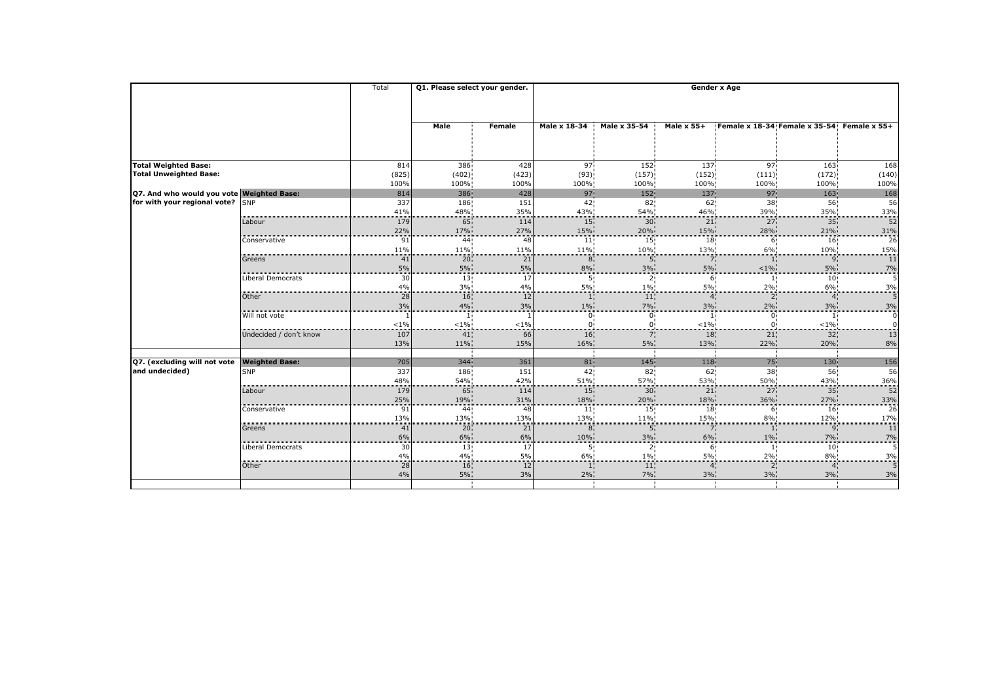| <b>Male</b><br>Male x 18-34<br><b>Male x 35-54</b><br><b>Male x 55+</b><br>Female x 18-34 Female x 35-54 Female x 55+<br><b>Female</b><br>386<br>152<br>97 <sup>3</sup><br><b>Total Weighted Base:</b><br>428<br>97 <sup>3</sup><br>137<br>163<br>814<br><b>Total Unweighted Base:</b><br>(402)<br>(825)<br>(423)<br>(93)<br>(157)<br>(152)<br>(172)<br>(111)<br>100%<br>100%<br>100%<br>100%<br>100%<br>100%<br>100%<br>100%<br>97<br>97<br>Q7. And who would you vote Weighted Base:<br>814<br>386<br>428<br>152<br>137<br>163<br>for with your regional vote?<br>186<br>38<br><b>SNP</b><br>337<br>151<br>42<br>82<br>62<br>56<br>35%<br>41%<br>48%<br>43%<br>54%<br>46%<br>39%<br>35%<br>179<br>65<br>15 <sup>1</sup><br>27<br>35 <sup>3</sup><br>Labour<br>114<br>30 <sub>1</sub><br>21<br>17%<br>22%<br>27%<br>20%<br>15%<br>28%<br>21%<br>15%<br>16<br>91<br>44<br>15 <sup>2</sup><br>18 <sup>3</sup><br>Conservative<br>48<br> 11 <br>6<br>11%<br>11%<br>11%<br>10%<br>13%<br>6%<br>10%<br>11%<br>21<br>41<br>20 <sub>1</sub><br>8 <sup>1</sup><br>5 <sup>1</sup><br>9<br>Greens<br>7.<br>5%<br>8%<br>5%<br>5%<br>3%<br>5%<br>$< 1\%$<br>$5\%$<br>Liberal Democrats<br>30<br>13 <sup>2</sup><br>5 <sup>1</sup><br>2 <sub>1</sub><br>10 <sup>1</sup><br>17<br>6 <sub>1</sub><br>4%<br>5%<br>3%<br>5%<br>2%<br>4%<br>$1\%$<br>6%<br>Other<br>28<br>16<br>12<br>11 <sub>1</sub><br>2 <sub>1</sub><br>$\overline{4}$<br>4<br>3%<br>7%<br>3%<br>4%<br>$1\%$<br>$2\%$<br>3%<br>3%<br>Will not vote<br>$\overline{0}$<br>$\mathbf{0}$<br>$\mathbf{1}$<br>$\Omega$<br>${<}1\%$<br>$< 1\%$<br>$< 1\%$<br>$< 1\%$<br>$< 1\%$<br>0<br>Undecided / don't know<br>107<br>66<br>16<br>7.<br>21<br>32 <sub>1</sub><br>41<br>18<br>15%<br>13%<br>11%<br>16%<br>5%<br>13%<br>22%<br>20%<br>361<br>75<br>Q7. (excluding will not vote<br><b>Weighted Base:</b><br>705<br>344<br>81 <sup>3</sup><br>145<br>118<br>130<br>42<br>38<br>and undecided)<br><b>SNP</b><br>337<br>186<br>82<br>62<br>56<br>151<br>54%<br>42%<br>48%<br>51%<br>57%<br>53%<br>50%<br>43%<br>15<br>27<br>$\overline{35}$<br>179<br>65<br>30 <sub>1</sub><br>21<br>Labour<br>114<br>25%<br>31%<br>18%<br>36%<br>27%<br>19%<br>18%<br>20%<br>15 <sup>1</sup><br>91<br>48<br>11<br>18<br>6 <sup>1</sup><br>16<br>Conservative<br>44<br>13%<br>15%<br>$8\%$<br>12%<br>13%<br>13%<br>13%<br>11%<br>20 <sub>1</sub><br>21<br>8 <sup>1</sup><br>∃ٍ9<br>41<br>Greens<br>$6\%$<br>6%<br>6%<br>10%<br>3%<br>6%<br>$1\%$<br>$7\%$<br>13<br>10 <sup>1</sup><br>Liberal Democrats<br>30<br>17<br>5 <sub>1</sub><br>2 <sub>1</sub><br>6 |  | Total | Q1. Please select your gender. |    | <b>Gender x Age</b> |       |    |       |    |                 |  |  |
|---------------------------------------------------------------------------------------------------------------------------------------------------------------------------------------------------------------------------------------------------------------------------------------------------------------------------------------------------------------------------------------------------------------------------------------------------------------------------------------------------------------------------------------------------------------------------------------------------------------------------------------------------------------------------------------------------------------------------------------------------------------------------------------------------------------------------------------------------------------------------------------------------------------------------------------------------------------------------------------------------------------------------------------------------------------------------------------------------------------------------------------------------------------------------------------------------------------------------------------------------------------------------------------------------------------------------------------------------------------------------------------------------------------------------------------------------------------------------------------------------------------------------------------------------------------------------------------------------------------------------------------------------------------------------------------------------------------------------------------------------------------------------------------------------------------------------------------------------------------------------------------------------------------------------------------------------------------------------------------------------------------------------------------------------------------------------------------------------------------------------------------------------------------------------------------------------------------------------------------------------------------------------------------------------------------------------------------------------------------------------------------------------------------------------------------------------------------------------------------------------------------------------------------------------------------------------------------|--|-------|--------------------------------|----|---------------------|-------|----|-------|----|-----------------|--|--|
|                                                                                                                                                                                                                                                                                                                                                                                                                                                                                                                                                                                                                                                                                                                                                                                                                                                                                                                                                                                                                                                                                                                                                                                                                                                                                                                                                                                                                                                                                                                                                                                                                                                                                                                                                                                                                                                                                                                                                                                                                                                                                                                                                                                                                                                                                                                                                                                                                                                                                                                                                                                       |  |       |                                |    |                     |       |    |       |    |                 |  |  |
|                                                                                                                                                                                                                                                                                                                                                                                                                                                                                                                                                                                                                                                                                                                                                                                                                                                                                                                                                                                                                                                                                                                                                                                                                                                                                                                                                                                                                                                                                                                                                                                                                                                                                                                                                                                                                                                                                                                                                                                                                                                                                                                                                                                                                                                                                                                                                                                                                                                                                                                                                                                       |  |       |                                |    |                     |       |    |       |    |                 |  |  |
|                                                                                                                                                                                                                                                                                                                                                                                                                                                                                                                                                                                                                                                                                                                                                                                                                                                                                                                                                                                                                                                                                                                                                                                                                                                                                                                                                                                                                                                                                                                                                                                                                                                                                                                                                                                                                                                                                                                                                                                                                                                                                                                                                                                                                                                                                                                                                                                                                                                                                                                                                                                       |  |       |                                |    |                     |       |    |       |    |                 |  |  |
|                                                                                                                                                                                                                                                                                                                                                                                                                                                                                                                                                                                                                                                                                                                                                                                                                                                                                                                                                                                                                                                                                                                                                                                                                                                                                                                                                                                                                                                                                                                                                                                                                                                                                                                                                                                                                                                                                                                                                                                                                                                                                                                                                                                                                                                                                                                                                                                                                                                                                                                                                                                       |  |       |                                |    |                     |       |    |       |    | 168             |  |  |
|                                                                                                                                                                                                                                                                                                                                                                                                                                                                                                                                                                                                                                                                                                                                                                                                                                                                                                                                                                                                                                                                                                                                                                                                                                                                                                                                                                                                                                                                                                                                                                                                                                                                                                                                                                                                                                                                                                                                                                                                                                                                                                                                                                                                                                                                                                                                                                                                                                                                                                                                                                                       |  |       |                                |    |                     |       |    |       |    | (140)<br>100%   |  |  |
|                                                                                                                                                                                                                                                                                                                                                                                                                                                                                                                                                                                                                                                                                                                                                                                                                                                                                                                                                                                                                                                                                                                                                                                                                                                                                                                                                                                                                                                                                                                                                                                                                                                                                                                                                                                                                                                                                                                                                                                                                                                                                                                                                                                                                                                                                                                                                                                                                                                                                                                                                                                       |  |       |                                |    |                     |       |    |       |    | 168             |  |  |
|                                                                                                                                                                                                                                                                                                                                                                                                                                                                                                                                                                                                                                                                                                                                                                                                                                                                                                                                                                                                                                                                                                                                                                                                                                                                                                                                                                                                                                                                                                                                                                                                                                                                                                                                                                                                                                                                                                                                                                                                                                                                                                                                                                                                                                                                                                                                                                                                                                                                                                                                                                                       |  |       |                                |    |                     |       |    |       |    | 56              |  |  |
|                                                                                                                                                                                                                                                                                                                                                                                                                                                                                                                                                                                                                                                                                                                                                                                                                                                                                                                                                                                                                                                                                                                                                                                                                                                                                                                                                                                                                                                                                                                                                                                                                                                                                                                                                                                                                                                                                                                                                                                                                                                                                                                                                                                                                                                                                                                                                                                                                                                                                                                                                                                       |  |       |                                |    |                     |       |    |       |    | 33%<br>52       |  |  |
|                                                                                                                                                                                                                                                                                                                                                                                                                                                                                                                                                                                                                                                                                                                                                                                                                                                                                                                                                                                                                                                                                                                                                                                                                                                                                                                                                                                                                                                                                                                                                                                                                                                                                                                                                                                                                                                                                                                                                                                                                                                                                                                                                                                                                                                                                                                                                                                                                                                                                                                                                                                       |  |       |                                |    |                     |       |    |       |    | 31%             |  |  |
|                                                                                                                                                                                                                                                                                                                                                                                                                                                                                                                                                                                                                                                                                                                                                                                                                                                                                                                                                                                                                                                                                                                                                                                                                                                                                                                                                                                                                                                                                                                                                                                                                                                                                                                                                                                                                                                                                                                                                                                                                                                                                                                                                                                                                                                                                                                                                                                                                                                                                                                                                                                       |  |       |                                |    |                     |       |    |       |    | 26<br>15%       |  |  |
|                                                                                                                                                                                                                                                                                                                                                                                                                                                                                                                                                                                                                                                                                                                                                                                                                                                                                                                                                                                                                                                                                                                                                                                                                                                                                                                                                                                                                                                                                                                                                                                                                                                                                                                                                                                                                                                                                                                                                                                                                                                                                                                                                                                                                                                                                                                                                                                                                                                                                                                                                                                       |  |       |                                |    |                     |       |    |       |    | 11<br>7%        |  |  |
|                                                                                                                                                                                                                                                                                                                                                                                                                                                                                                                                                                                                                                                                                                                                                                                                                                                                                                                                                                                                                                                                                                                                                                                                                                                                                                                                                                                                                                                                                                                                                                                                                                                                                                                                                                                                                                                                                                                                                                                                                                                                                                                                                                                                                                                                                                                                                                                                                                                                                                                                                                                       |  |       |                                |    |                     |       |    |       |    |                 |  |  |
|                                                                                                                                                                                                                                                                                                                                                                                                                                                                                                                                                                                                                                                                                                                                                                                                                                                                                                                                                                                                                                                                                                                                                                                                                                                                                                                                                                                                                                                                                                                                                                                                                                                                                                                                                                                                                                                                                                                                                                                                                                                                                                                                                                                                                                                                                                                                                                                                                                                                                                                                                                                       |  |       |                                |    |                     |       |    |       |    | 3%              |  |  |
|                                                                                                                                                                                                                                                                                                                                                                                                                                                                                                                                                                                                                                                                                                                                                                                                                                                                                                                                                                                                                                                                                                                                                                                                                                                                                                                                                                                                                                                                                                                                                                                                                                                                                                                                                                                                                                                                                                                                                                                                                                                                                                                                                                                                                                                                                                                                                                                                                                                                                                                                                                                       |  |       |                                |    |                     |       |    |       |    | 3%              |  |  |
|                                                                                                                                                                                                                                                                                                                                                                                                                                                                                                                                                                                                                                                                                                                                                                                                                                                                                                                                                                                                                                                                                                                                                                                                                                                                                                                                                                                                                                                                                                                                                                                                                                                                                                                                                                                                                                                                                                                                                                                                                                                                                                                                                                                                                                                                                                                                                                                                                                                                                                                                                                                       |  |       |                                |    |                     |       |    |       |    |                 |  |  |
|                                                                                                                                                                                                                                                                                                                                                                                                                                                                                                                                                                                                                                                                                                                                                                                                                                                                                                                                                                                                                                                                                                                                                                                                                                                                                                                                                                                                                                                                                                                                                                                                                                                                                                                                                                                                                                                                                                                                                                                                                                                                                                                                                                                                                                                                                                                                                                                                                                                                                                                                                                                       |  |       |                                |    |                     |       |    |       |    | 13              |  |  |
|                                                                                                                                                                                                                                                                                                                                                                                                                                                                                                                                                                                                                                                                                                                                                                                                                                                                                                                                                                                                                                                                                                                                                                                                                                                                                                                                                                                                                                                                                                                                                                                                                                                                                                                                                                                                                                                                                                                                                                                                                                                                                                                                                                                                                                                                                                                                                                                                                                                                                                                                                                                       |  |       |                                |    |                     |       |    |       |    | 8%              |  |  |
|                                                                                                                                                                                                                                                                                                                                                                                                                                                                                                                                                                                                                                                                                                                                                                                                                                                                                                                                                                                                                                                                                                                                                                                                                                                                                                                                                                                                                                                                                                                                                                                                                                                                                                                                                                                                                                                                                                                                                                                                                                                                                                                                                                                                                                                                                                                                                                                                                                                                                                                                                                                       |  |       |                                |    |                     |       |    |       |    | 156             |  |  |
|                                                                                                                                                                                                                                                                                                                                                                                                                                                                                                                                                                                                                                                                                                                                                                                                                                                                                                                                                                                                                                                                                                                                                                                                                                                                                                                                                                                                                                                                                                                                                                                                                                                                                                                                                                                                                                                                                                                                                                                                                                                                                                                                                                                                                                                                                                                                                                                                                                                                                                                                                                                       |  |       |                                |    |                     |       |    |       |    | 56              |  |  |
|                                                                                                                                                                                                                                                                                                                                                                                                                                                                                                                                                                                                                                                                                                                                                                                                                                                                                                                                                                                                                                                                                                                                                                                                                                                                                                                                                                                                                                                                                                                                                                                                                                                                                                                                                                                                                                                                                                                                                                                                                                                                                                                                                                                                                                                                                                                                                                                                                                                                                                                                                                                       |  |       |                                |    |                     |       |    |       |    | 36%<br>52       |  |  |
|                                                                                                                                                                                                                                                                                                                                                                                                                                                                                                                                                                                                                                                                                                                                                                                                                                                                                                                                                                                                                                                                                                                                                                                                                                                                                                                                                                                                                                                                                                                                                                                                                                                                                                                                                                                                                                                                                                                                                                                                                                                                                                                                                                                                                                                                                                                                                                                                                                                                                                                                                                                       |  |       |                                |    |                     |       |    |       |    | 33%             |  |  |
|                                                                                                                                                                                                                                                                                                                                                                                                                                                                                                                                                                                                                                                                                                                                                                                                                                                                                                                                                                                                                                                                                                                                                                                                                                                                                                                                                                                                                                                                                                                                                                                                                                                                                                                                                                                                                                                                                                                                                                                                                                                                                                                                                                                                                                                                                                                                                                                                                                                                                                                                                                                       |  |       |                                |    |                     |       |    |       |    | $\overline{26}$ |  |  |
|                                                                                                                                                                                                                                                                                                                                                                                                                                                                                                                                                                                                                                                                                                                                                                                                                                                                                                                                                                                                                                                                                                                                                                                                                                                                                                                                                                                                                                                                                                                                                                                                                                                                                                                                                                                                                                                                                                                                                                                                                                                                                                                                                                                                                                                                                                                                                                                                                                                                                                                                                                                       |  |       |                                |    |                     |       |    |       |    | 17%<br>11       |  |  |
|                                                                                                                                                                                                                                                                                                                                                                                                                                                                                                                                                                                                                                                                                                                                                                                                                                                                                                                                                                                                                                                                                                                                                                                                                                                                                                                                                                                                                                                                                                                                                                                                                                                                                                                                                                                                                                                                                                                                                                                                                                                                                                                                                                                                                                                                                                                                                                                                                                                                                                                                                                                       |  |       |                                |    |                     |       |    |       |    | 7%              |  |  |
|                                                                                                                                                                                                                                                                                                                                                                                                                                                                                                                                                                                                                                                                                                                                                                                                                                                                                                                                                                                                                                                                                                                                                                                                                                                                                                                                                                                                                                                                                                                                                                                                                                                                                                                                                                                                                                                                                                                                                                                                                                                                                                                                                                                                                                                                                                                                                                                                                                                                                                                                                                                       |  | 4%    | $4\%$                          | 5% | $6\%$               | $1\%$ | 5% | $2\%$ | 8% | 3%              |  |  |
| 16<br>28<br>Other<br>12<br> 11 <br>2 <sub>1</sub><br>$\overline{4}$<br>4<br>3%                                                                                                                                                                                                                                                                                                                                                                                                                                                                                                                                                                                                                                                                                                                                                                                                                                                                                                                                                                                                                                                                                                                                                                                                                                                                                                                                                                                                                                                                                                                                                                                                                                                                                                                                                                                                                                                                                                                                                                                                                                                                                                                                                                                                                                                                                                                                                                                                                                                                                                        |  |       |                                |    |                     |       |    |       |    | 3%              |  |  |
| 5%<br>3%<br>$2\%$<br>$7\%$<br>3%<br>3%<br>4%                                                                                                                                                                                                                                                                                                                                                                                                                                                                                                                                                                                                                                                                                                                                                                                                                                                                                                                                                                                                                                                                                                                                                                                                                                                                                                                                                                                                                                                                                                                                                                                                                                                                                                                                                                                                                                                                                                                                                                                                                                                                                                                                                                                                                                                                                                                                                                                                                                                                                                                                          |  |       |                                |    |                     |       |    |       |    |                 |  |  |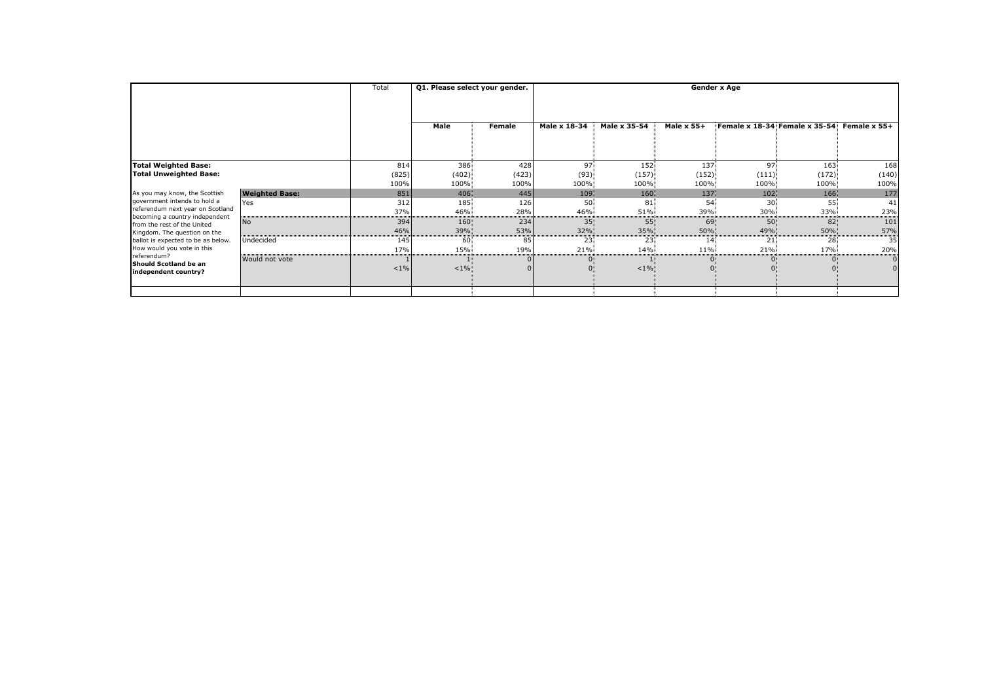|                                                                                                                                                                                                 | Total                 | Q1. Please select your gender. |         | <b>Gender x Age</b> |              |                     |                   |                  |                                      |              |  |  |
|-------------------------------------------------------------------------------------------------------------------------------------------------------------------------------------------------|-----------------------|--------------------------------|---------|---------------------|--------------|---------------------|-------------------|------------------|--------------------------------------|--------------|--|--|
|                                                                                                                                                                                                 |                       |                                |         |                     |              |                     |                   |                  |                                      |              |  |  |
|                                                                                                                                                                                                 |                       |                                | Male    | Female              | Male x 18-34 | <b>Male x 35-54</b> | <b>Male x 55+</b> |                  | <b>Female x 18-34 Female x 35-54</b> | Female x 55+ |  |  |
|                                                                                                                                                                                                 |                       |                                |         |                     |              |                     |                   |                  |                                      |              |  |  |
|                                                                                                                                                                                                 |                       |                                |         |                     |              |                     |                   |                  |                                      |              |  |  |
| <b>Total Weighted Base:</b>                                                                                                                                                                     |                       | 814                            | 386     | 428                 | 97           | 152                 | 137               | 97               | 163                                  | 168          |  |  |
| <b>Total Unweighted Base:</b>                                                                                                                                                                   |                       | (825)                          | (402)   | (423)               | (93)         | (157)               | (152)             | (111)            | (172)                                | (140)        |  |  |
|                                                                                                                                                                                                 |                       | 100%                           | 100%    | 100%                | 100%         | 100%                | 100%              | 100%             | 100%                                 | 100%         |  |  |
| As you may know, the Scottish                                                                                                                                                                   | <b>Weighted Base:</b> | 851                            | 406     | 445                 | 109          | 160                 | 137               | 102 <sub>1</sub> | 166                                  | 177          |  |  |
| government intends to hold a                                                                                                                                                                    | Yes                   | 312                            | 185     | 126                 | 50           | 81                  | 54                | 30               | 55                                   | 41           |  |  |
| referendum next year on Scotland<br>becoming a country independent                                                                                                                              |                       | 37%                            | 46%     | 28%                 | 46%          | 51%                 | 39%               | 30%              | 33%                                  | 23%          |  |  |
| from the rest of the United<br>Kingdom. The question on the<br>ballot is expected to be as below.<br>How would you vote in this<br>referendum?<br>Should Scotland be an<br>independent country? | <b>No</b>             | 394                            | 160     | 234                 | 35           | 55                  | 69                | 50               | 82                                   | 101          |  |  |
|                                                                                                                                                                                                 |                       | 46%                            | 39%     | 53%                 | 32%          | 35%                 | 50%               | 49%              | 50%                                  | 57%          |  |  |
|                                                                                                                                                                                                 | Undecided             | 145                            | 60      | 85                  | 23           | 23                  | 14                | 21               | 28                                   | 35           |  |  |
|                                                                                                                                                                                                 |                       | 17%                            | 15%     | 19%                 | 21%          | 14%                 | 11%               | 21%              | 17%                                  | 20%          |  |  |
|                                                                                                                                                                                                 | Would not vote        | $< 1\%$                        | $< 1\%$ |                     |              | $< 1\%$             |                   |                  | $\overline{0}$                       |              |  |  |
|                                                                                                                                                                                                 |                       |                                |         |                     |              |                     |                   |                  |                                      |              |  |  |